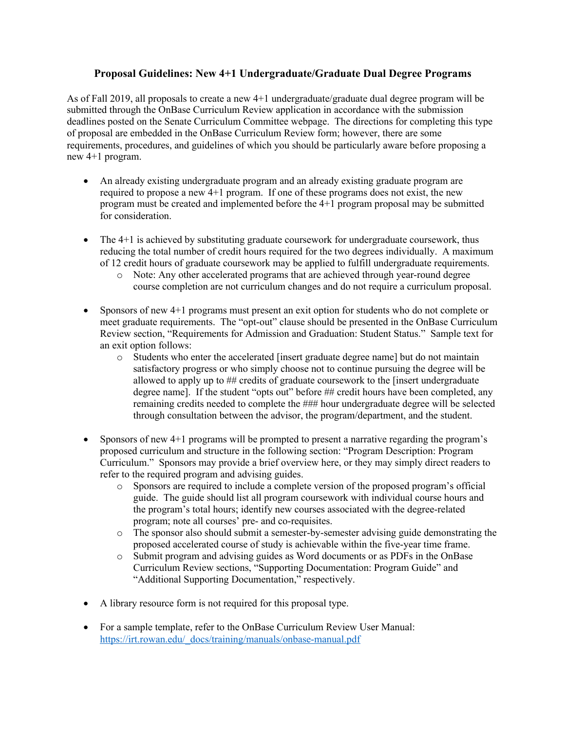# **Proposal Guidelines: New 4+1 Undergraduate/Graduate Dual Degree Programs**

As of Fall 2019, all proposals to create a new 4+1 undergraduate/graduate dual degree program will be submitted through the OnBase Curriculum Review application in accordance with the submission deadlines posted on the Senate Curriculum Committee webpage. The directions for completing this type of proposal are embedded in the OnBase Curriculum Review form; however, there are some requirements, procedures, and guidelines of which you should be particularly aware before proposing a new 4+1 program.

- An already existing undergraduate program and an already existing graduate program are required to propose a new 4+1 program. If one of these programs does not exist, the new program must be created and implemented before the 4+1 program proposal may be submitted for consideration.
- The 4+1 is achieved by substituting graduate coursework for undergraduate coursework, thus reducing the total number of credit hours required for the two degrees individually. A maximum of 12 credit hours of graduate coursework may be applied to fulfill undergraduate requirements.
	- o Note: Any other accelerated programs that are achieved through year-round degree course completion are not curriculum changes and do not require a curriculum proposal.
- Sponsors of new 4+1 programs must present an exit option for students who do not complete or meet graduate requirements. The "opt-out" clause should be presented in the OnBase Curriculum Review section, "Requirements for Admission and Graduation: Student Status." Sample text for an exit option follows:
	- o Students who enter the accelerated [insert graduate degree name] but do not maintain satisfactory progress or who simply choose not to continue pursuing the degree will be allowed to apply up to ## credits of graduate coursework to the [insert undergraduate degree name]. If the student "opts out" before ## credit hours have been completed, any remaining credits needed to complete the ### hour undergraduate degree will be selected through consultation between the advisor, the program/department, and the student.
- Sponsors of new 4+1 programs will be prompted to present a narrative regarding the program's proposed curriculum and structure in the following section: "Program Description: Program Curriculum." Sponsors may provide a brief overview here, or they may simply direct readers to refer to the required program and advising guides.
	- o Sponsors are required to include a complete version of the proposed program's official guide. The guide should list all program coursework with individual course hours and the program's total hours; identify new courses associated with the degree-related program; note all courses' pre- and co-requisites.
	- o The sponsor also should submit a semester-by-semester advising guide demonstrating the proposed accelerated course of study is achievable within the five-year time frame.
	- o Submit program and advising guides as Word documents or as PDFs in the OnBase Curriculum Review sections, "Supporting Documentation: Program Guide" and "Additional Supporting Documentation," respectively.
- A library resource form is not required for this proposal type.
- For a sample template, refer to the OnBase Curriculum Review User Manual: https://irt.rowan.edu/\_docs/training/manuals/onbase-manual.pdf